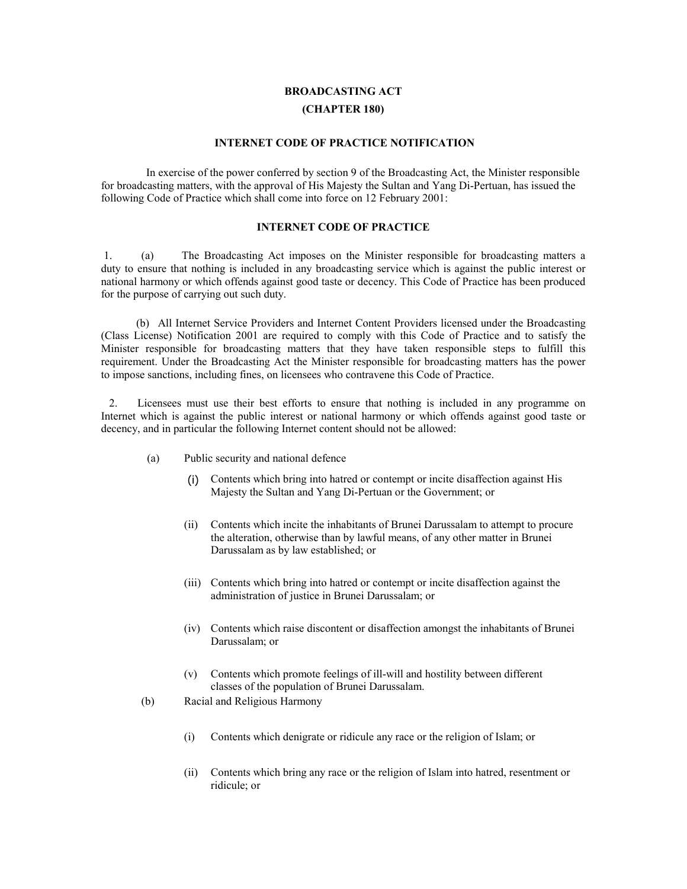## **BROADCASTING ACT (CHAPTER 180)**

## **INTERNET CODE OF PRACTICE NOTIFICATION**

 In exercise of the power conferred by section 9 of the Broadcasting Act, the Minister responsible for broadcasting matters, with the approval of His Majesty the Sultan and Yang Di-Pertuan, has issued the following Code of Practice which shall come into force on 12 February 2001:

## **INTERNET CODE OF PRACTICE**

 1. (a) The Broadcasting Act imposes on the Minister responsible for broadcasting matters a duty to ensure that nothing is included in any broadcasting service which is against the public interest or national harmony or which offends against good taste or decency. This Code of Practice has been produced for the purpose of carrying out such duty.

 (b) All Internet Service Providers and Internet Content Providers licensed under the Broadcasting (Class License) Notification 2001 are required to comply with this Code of Practice and to satisfy the Minister responsible for broadcasting matters that they have taken responsible steps to fulfill this requirement. Under the Broadcasting Act the Minister responsible for broadcasting matters has the power to impose sanctions, including fines, on licensees who contravene this Code of Practice.

 2. Licensees must use their best efforts to ensure that nothing is included in any programme on Internet which is against the public interest or national harmony or which offends against good taste or decency, and in particular the following Internet content should not be allowed:

- (a) Public security and national defence
	- (i) Contents which bring into hatred or contempt or incite disaffection against His Majesty the Sultan and Yang Di-Pertuan or the Government; or
	- (ii) Contents which incite the inhabitants of Brunei Darussalam to attempt to procure the alteration, otherwise than by lawful means, of any other matter in Brunei Darussalam as by law established; or
	- (iii) Contents which bring into hatred or contempt or incite disaffection against the administration of justice in Brunei Darussalam; or
	- (iv) Contents which raise discontent or disaffection amongst the inhabitants of Brunei Darussalam; or
	- (v) Contents which promote feelings of ill-will and hostility between different classes of the population of Brunei Darussalam.
- (b) Racial and Religious Harmony
	- (i) Contents which denigrate or ridicule any race or the religion of Islam; or
	- (ii) Contents which bring any race or the religion of Islam into hatred, resentment or ridicule; or